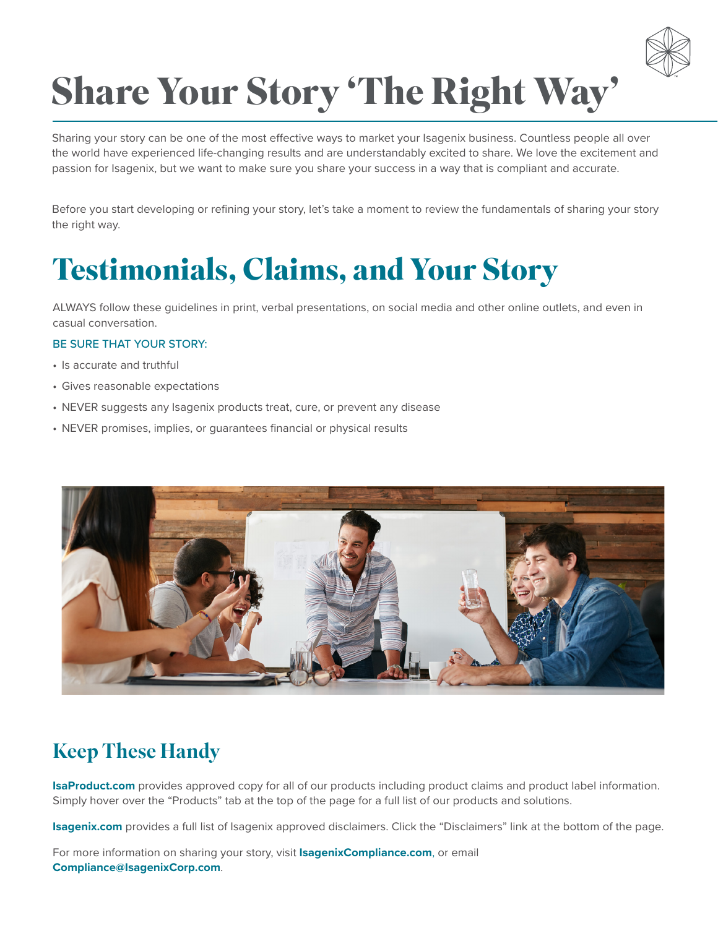

# **Share Your Story 'The Right Way'**

Sharing your story can be one of the most effective ways to market your Isagenix business. Countless people all over the world have experienced life-changing results and are understandably excited to share. We love the excitement and passion for Isagenix, but we want to make sure you share your success in a way that is compliant and accurate.

Before you start developing or refining your story, let's take a moment to review the fundamentals of sharing your story the right way.

## **Testimonials, Claims, and Your Story**

ALWAYS follow these guidelines in print, verbal presentations, on social media and other online outlets, and even in casual conversation.

#### BE SURE THAT YOUR STORY:

- Is accurate and truthful
- Gives reasonable expectations
- NEVER suggests any Isagenix products treat, cure, or prevent any disease
- NEVER promises, implies, or guarantees financial or physical results



### Keep These Handy

**IsaProduct.com** provides approved copy for all of our products including product claims and product label information. Simply hover over the "Products" tab at the top of the page for a full list of our products and solutions.

**Isagenix.com** provides a full list of Isagenix approved disclaimers. Click the "Disclaimers" link at the bottom of the page.

For more information on sharing your story, visit **IsagenixCompliance.com**, or email **Compliance@IsagenixCorp.com**.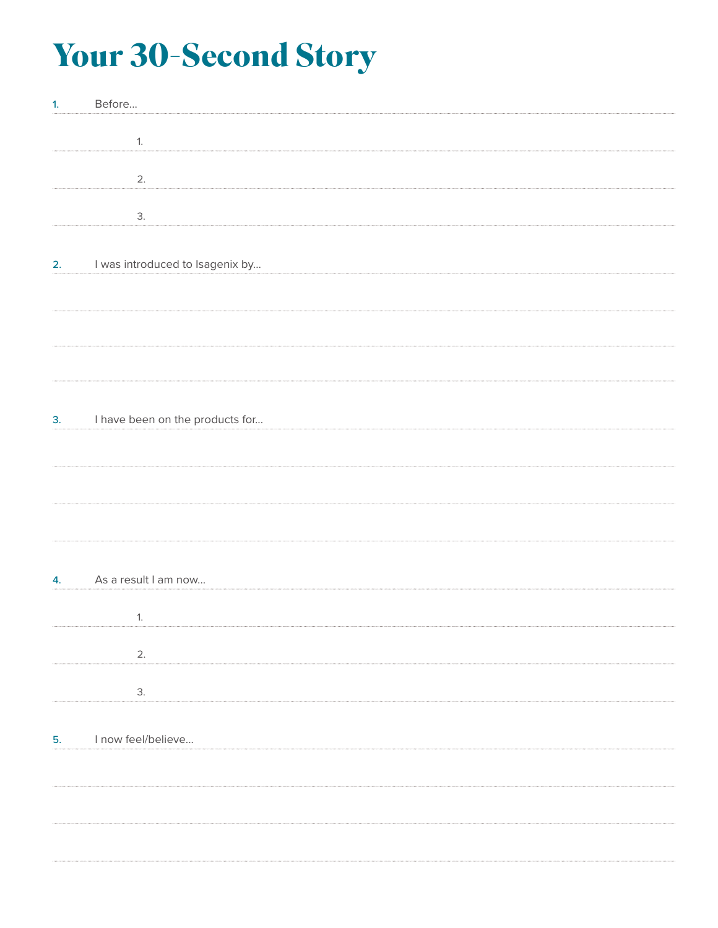# **Your 30-Second Story**

| 1 <sub>1</sub> | Before                          |
|----------------|---------------------------------|
|                |                                 |
|                | 1.                              |
|                |                                 |
|                | 2.                              |
|                |                                 |
|                |                                 |
|                | 3.                              |
|                |                                 |
| 2.             | I was introduced to Isagenix by |
|                |                                 |
|                |                                 |
|                |                                 |
|                |                                 |
|                |                                 |
|                |                                 |
|                |                                 |
|                |                                 |
|                |                                 |
| 3.             | I have been on the products for |
|                |                                 |
|                |                                 |
|                |                                 |
|                |                                 |
|                |                                 |
|                |                                 |
|                |                                 |
|                |                                 |
| 4.             | As a result I am now            |
|                |                                 |
|                |                                 |
|                | 1.                              |
|                |                                 |
|                | 2.                              |
|                |                                 |
|                | 3.                              |
|                |                                 |
|                |                                 |
| 5.             | I now feel/believe              |
|                |                                 |
|                |                                 |
|                |                                 |
|                |                                 |
|                |                                 |
|                |                                 |
|                |                                 |
|                |                                 |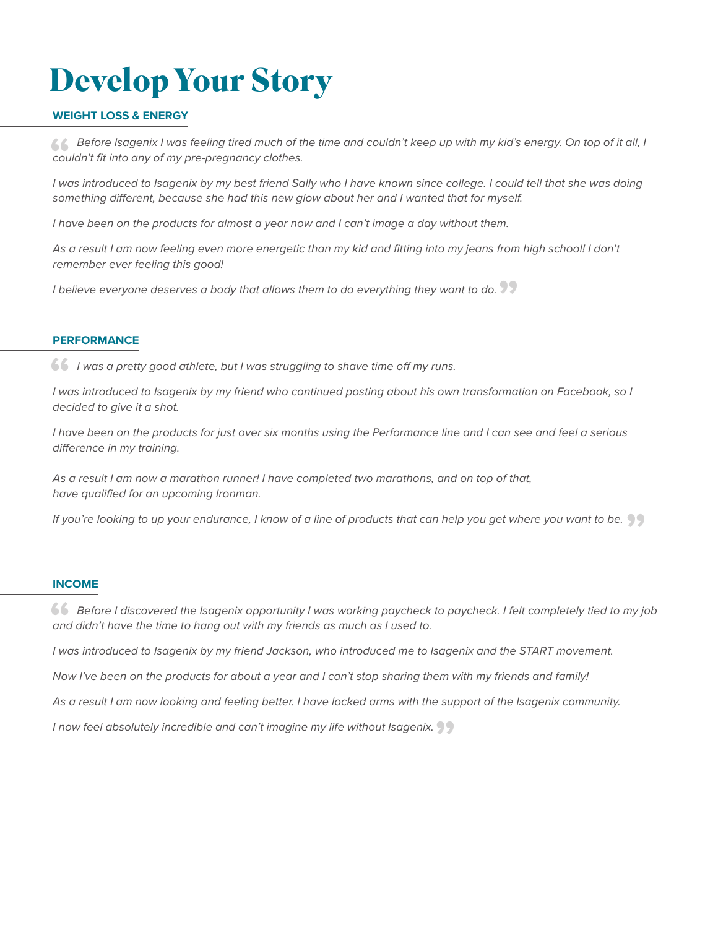# **Develop Your Story**

#### **WEIGHT LOSS & ENERGY**

 *Before Isagenix I was feeling tired much of the time and couldn't keep up with my kid's energy. On top of it all, I*  **"** *couldn't fit into any of my pre-pregnancy clothes.*

*I* was introduced to Isagenix by my best friend Sally who I have known since college. I could tell that she was doing *something different, because she had this new glow about her and I wanted that for myself.*

*I have been on the products for almost a year now and I can't image a day without them.*

As a result I am now feeling even more energetic than my kid and fitting into my jeans from high school! I don't *remember ever feeling this good!* 

remember ever reeling this good!<br>I believe everyone deserves a body that allows them to do everything they want to do. **??** 

#### **PERFORMANCE**

 *I was a pretty good athlete, but I was struggling to shave time off my runs.* **"** I was introduced to Isagenix by my friend who continued posting about his own transformation on Facebook, so I *decided to give it a shot.* 

I have been on the products for just over six months using the Performance line and I can see and feel a serious *difference in my training.* 

*As a result I am now a marathon runner! I have completed two marathons, and on top of that, have qualified for an upcoming Ironman.*

*If you're looking to up your endurance, I know of a line of products that can help you get where you want to be.* **"**

#### **INCOME**

**66** Before I discovered the Isagenix opportunity I was working paycheck to paycheck. I felt completely tied to my job and didn't have the time to hang out with my friends as much as I used to. *and didn't have the time to hang out with my friends as much as I used to.*

*I was introduced to Isagenix by my friend Jackson, who introduced me to Isagenix and the START movement.*

*Now I've been on the products for about a year and I can't stop sharing them with my friends and family!*

*As a result I am now looking and feeling better. I have locked arms with the support of the Isagenix community.* 

*I now feel absolutely incredible and can't imagine my life without Isagenix.* **"**